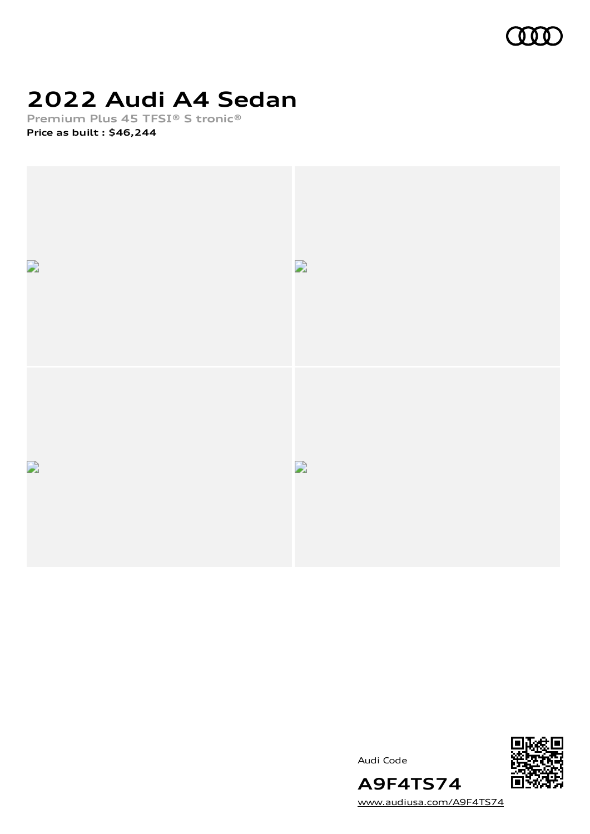

## **2022 Audi A4 Sedan**

**Premium Plus 45 TFSI® S tronic® Price as built [:](#page-10-0) \$46,244**



Audi Code



[www.audiusa.com/A9F4TS74](https://www.audiusa.com/A9F4TS74)

**A9F4TS74**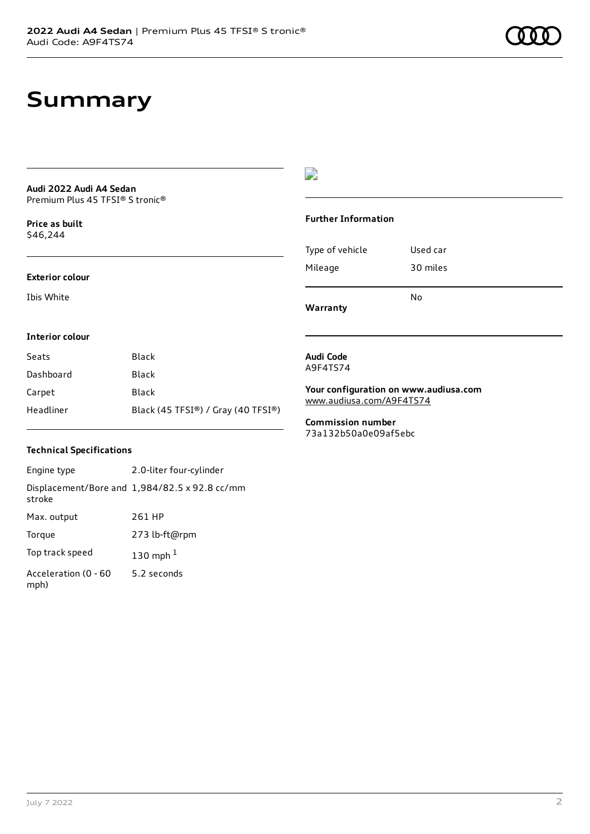## **Summary**

### **Audi 2022 Audi A4 Sedan** Premium Plus 45 TFSI® S tronic®

**Price as buil[t](#page-10-0)** \$46,244

### **Exterior colour**

Ibis White



### **Further Information**

Type of vehicle Used car Mileage 30 miles No

**Warranty**

**Audi Code** A9F4TS74

### **Interior colour**

| Seats     | Black                              |
|-----------|------------------------------------|
| Dashboard | Black                              |
| Carpet    | Black                              |
| Headliner | Black (45 TFSI®) / Gray (40 TFSI®) |

### **Your configuration on www.audiusa.com** [www.audiusa.com/A9F4TS74](https://www.audiusa.com/A9F4TS74)

**Commission number** 73a132b50a0e09af5ebc

## **Technical Specifications**

Engine type 2.0-liter four-cylinder Displacement/Bore and 1,984/82.5 x 92.8 cc/mm stroke Max. output 261 HP Torque 273 lb-ft@rpm Top track speed [1](#page-10-0)30 mph $<sup>1</sup>$ </sup> Acceleration (0 - 60 mph) 5.2 seconds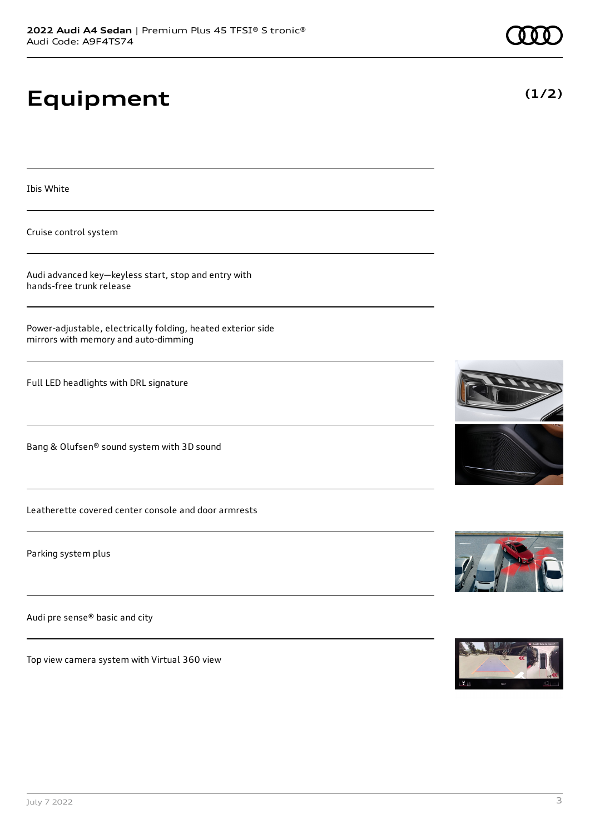# **Equipment**

Ibis White

Cruise control system

Audi advanced key—keyless start, stop and entry with hands-free trunk release

Power-adjustable, electrically folding, heated exterior side mirrors with memory and auto-dimming

Full LED headlights with DRL signature

Bang & Olufsen® sound system with 3D sound

Leatherette covered center console and door armrests

Parking system plus

Audi pre sense® basic and city

Top view camera system with Virtual 360 view







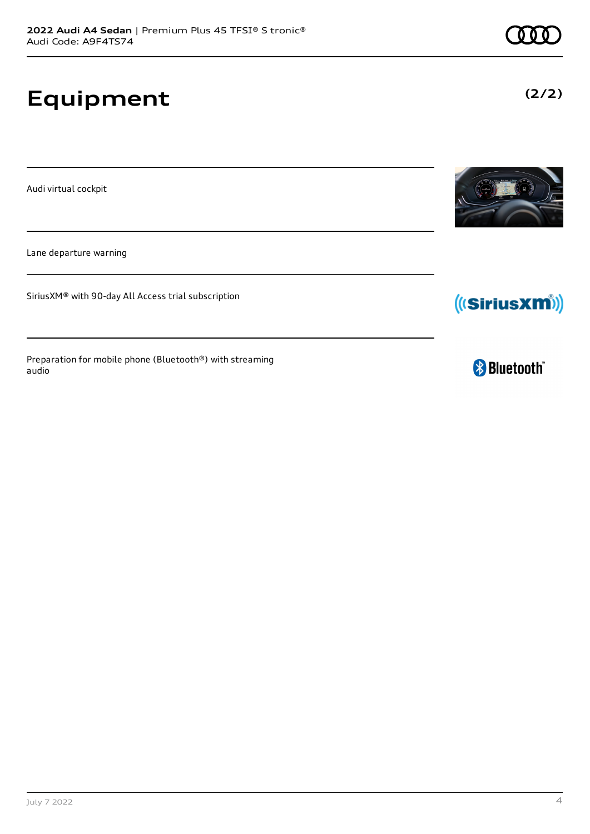# **Equipment**

Audi virtual cockpit

Lane departure warning

SiriusXM® with 90-day All Access trial subscription

Preparation for mobile phone (Bluetooth®) with streaming audio







**(2/2)**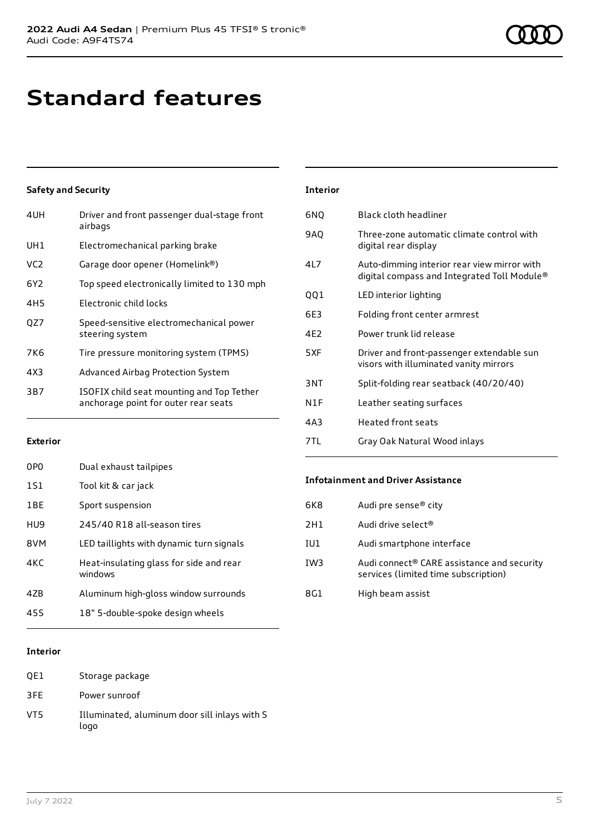# **Standard features**

## **Safety and Security**

| Driver and front passenger dual-stage front<br>airbags                            |
|-----------------------------------------------------------------------------------|
| Electromechanical parking brake                                                   |
| Garage door opener (Homelink®)                                                    |
| Top speed electronically limited to 130 mph                                       |
| Electronic child locks                                                            |
| Speed-sensitive electromechanical power<br>steering system                        |
| Tire pressure monitoring system (TPMS)                                            |
| Advanced Airbag Protection System                                                 |
| ISOFIX child seat mounting and Top Tether<br>anchorage point for outer rear seats |
|                                                                                   |

## **Interior** 6NQ Black cloth headliner 9AQ Three-zone automatic climate control with digital rear display 4L7 Auto-dimming interior rear view mirror with digital compass and Integrated Toll Module® QQ1 LED interior lighting 6E3 Folding front center armrest 4E2 Power trunk lid release 5XF Driver and front-passenger extendable sun visors with illuminated vanity mirrors 3NT Split-folding rear seatback (40/20/40) N1F Leather seating surfaces 4A3 Heated front seats 7TL Gray Oak Natural Wood inlays

## **Exterior**

| 0P <sub>0</sub> | Dual exhaust tailpipes                             |
|-----------------|----------------------------------------------------|
| 1S1             | Tool kit & car jack                                |
| 1BE             | Sport suspension                                   |
| HU9             | 245/40 R18 all-season tires                        |
| 8VM             | LED taillights with dynamic turn signals           |
| 4KC             | Heat-insulating glass for side and rear<br>windows |
| 47B             | Aluminum high-gloss window surrounds               |
| 45S             | 18" 5-double-spoke design wheels                   |

## **Infotainment and Driver Assistance**

| 6K8             | Audi pre sense <sup>®</sup> city                                                   |
|-----------------|------------------------------------------------------------------------------------|
| 2H1             | Audi drive select®                                                                 |
| IU1             | Audi smartphone interface                                                          |
| IW <sub>3</sub> | Audi connect® CARE assistance and security<br>services (limited time subscription) |
| 8G1             | High beam assist                                                                   |

## **Interior**

| OE1 | Storage package                                       |
|-----|-------------------------------------------------------|
| 3FE | Power sunroof                                         |
| VT5 | Illuminated, aluminum door sill inlays with S<br>logo |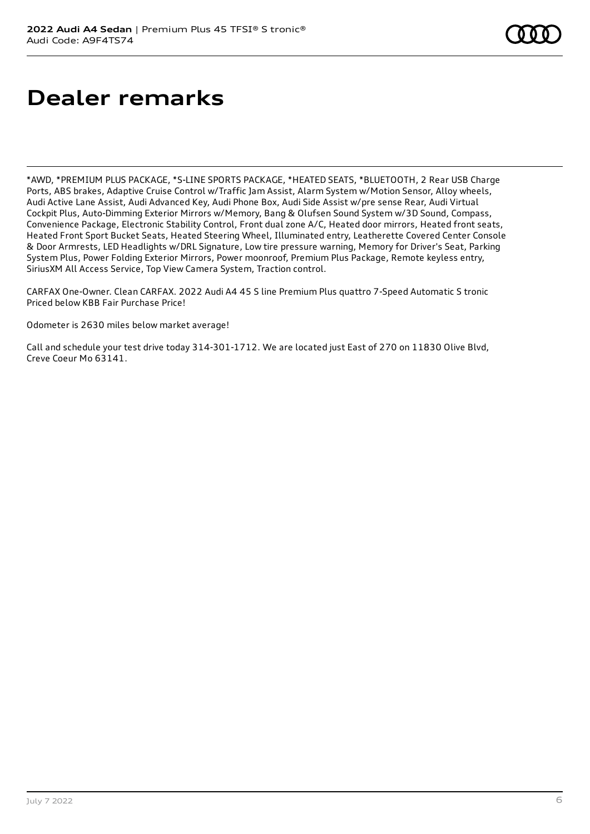# **Dealer remarks**

\*AWD, \*PREMIUM PLUS PACKAGE, \*S-LINE SPORTS PACKAGE, \*HEATED SEATS, \*BLUETOOTH, 2 Rear USB Charge Ports, ABS brakes, Adaptive Cruise Control w/Traffic Jam Assist, Alarm System w/Motion Sensor, Alloy wheels, Audi Active Lane Assist, Audi Advanced Key, Audi Phone Box, Audi Side Assist w/pre sense Rear, Audi Virtual Cockpit Plus, Auto-Dimming Exterior Mirrors w/Memory, Bang & Olufsen Sound System w/3D Sound, Compass, Convenience Package, Electronic Stability Control, Front dual zone A/C, Heated door mirrors, Heated front seats, Heated Front Sport Bucket Seats, Heated Steering Wheel, Illuminated entry, Leatherette Covered Center Console & Door Armrests, LED Headlights w/DRL Signature, Low tire pressure warning, Memory for Driver's Seat, Parking System Plus, Power Folding Exterior Mirrors, Power moonroof, Premium Plus Package, Remote keyless entry, SiriusXM All Access Service, Top View Camera System, Traction control.

CARFAX One-Owner. Clean CARFAX. 2022 Audi A4 45 S line Premium Plus quattro 7-Speed Automatic S tronic Priced below KBB Fair Purchase Price!

Odometer is 2630 miles below market average!

Call and schedule your test drive today 314-301-1712. We are located just East of 270 on 11830 Olive Blvd, Creve Coeur Mo 63141.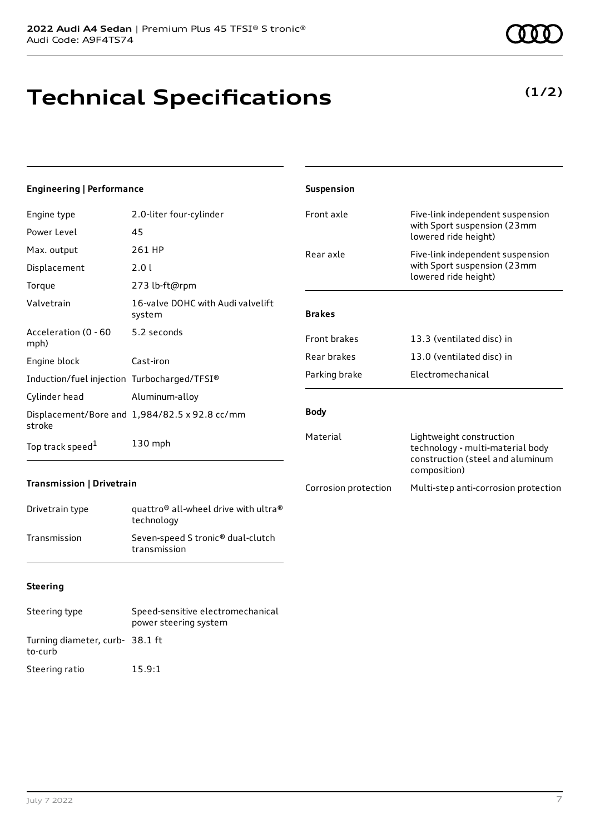# **Technical Specifications**

**(1/2)**

| <b>Engineering   Performance</b>            |                                                                            | Suspension           |                                                                                                                  |
|---------------------------------------------|----------------------------------------------------------------------------|----------------------|------------------------------------------------------------------------------------------------------------------|
| Engine type                                 | 2.0-liter four-cylinder                                                    | Front axle           | Five-link independent suspension                                                                                 |
| Power Level                                 | 45                                                                         |                      | with Sport suspension (23mm<br>lowered ride height)                                                              |
| Max. output                                 | 261 HP                                                                     | Rear axle            | Five-link independent suspension                                                                                 |
| Displacement                                | 2.01                                                                       |                      | with Sport suspension (23mm<br>lowered ride height)                                                              |
| Torque                                      | 273 lb-ft@rpm                                                              |                      |                                                                                                                  |
| Valvetrain                                  | 16-valve DOHC with Audi valvelift<br>system                                | <b>Brakes</b>        |                                                                                                                  |
| Acceleration (0 - 60<br>mph)                | 5.2 seconds                                                                | Front brakes         | 13.3 (ventilated disc) in                                                                                        |
| Engine block                                | Cast-iron                                                                  | Rear brakes          | 13.0 (ventilated disc) in                                                                                        |
| Induction/fuel injection Turbocharged/TFSI® |                                                                            | Parking brake        | Electromechanical                                                                                                |
| Cylinder head                               | Aluminum-alloy                                                             |                      |                                                                                                                  |
| stroke                                      | Displacement/Bore and 1,984/82.5 x 92.8 cc/mm                              | <b>Body</b>          |                                                                                                                  |
| Top track speed <sup>1</sup>                | 130 mph                                                                    | Material             | Lightweight construction<br>technology - multi-material body<br>construction (steel and aluminum<br>composition) |
| Transmission   Drivetrain                   |                                                                            | Corrosion protection | Multi-step anti-corrosion protection                                                                             |
| Drivetrain type                             | quattro <sup>®</sup> all-wheel drive with ultra <sup>®</sup><br>technology |                      |                                                                                                                  |
| Transmission                                | Seven-speed S tronic <sup>®</sup> dual-clutch                              |                      |                                                                                                                  |

## **Steering**

| Steering type                              | Speed-sensitive electromechanical<br>power steering system |
|--------------------------------------------|------------------------------------------------------------|
| Turning diameter, curb- 38.1 ft<br>to-curb |                                                            |
| Steering ratio                             | 15.9:1                                                     |

transmission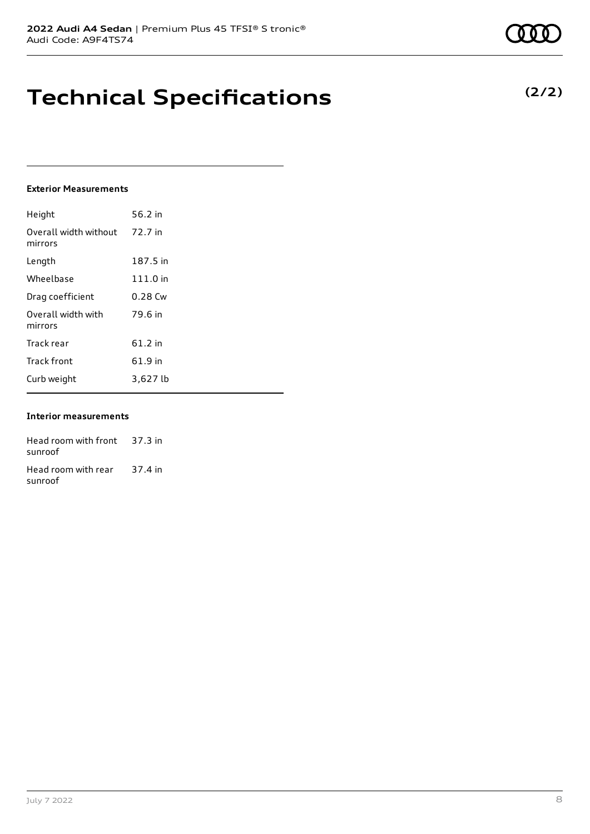## **Technical Specifications**

### **Exterior Measurements**

| Height                           | 56.2 in   |
|----------------------------------|-----------|
| Overall width without<br>mirrors | 72.7 in   |
| Length                           | 187.5 in  |
| Wheelbase                        | 111.0 in  |
| Drag coefficient                 | $0.28$ Cw |
| Overall width with<br>mirrors    | 79.6 in   |
| Track rear                       | $61.2$ in |
| <b>Track front</b>               | 61.9 in   |
| Curb weight                      | 3,627 lb  |

### **Interior measurements**

Head room with front 37.3 in sunroof Head room with rear sunroof 37.4 in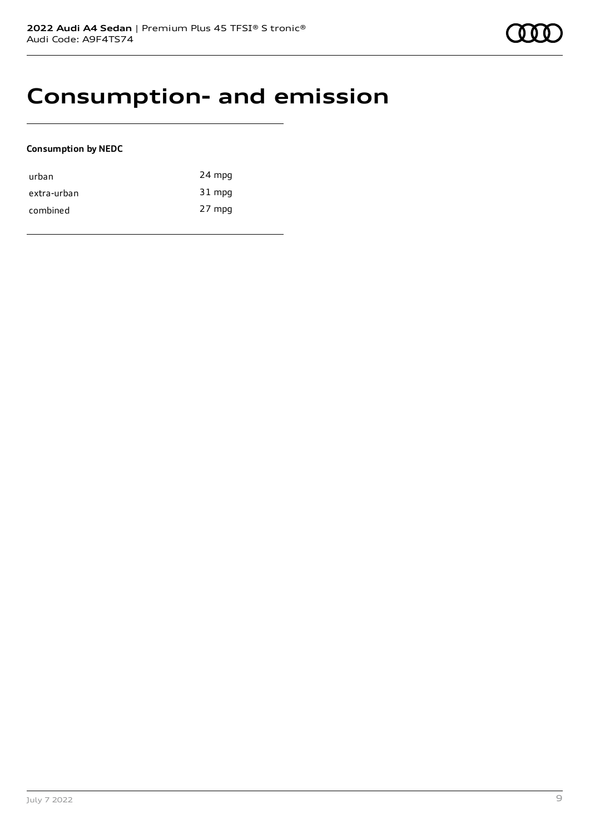## **Consumption- and emission**

## **Consumption by NEDC**

| urban       | 24 mpg |
|-------------|--------|
| extra-urban | 31 mpg |
| combined    | 27 mpg |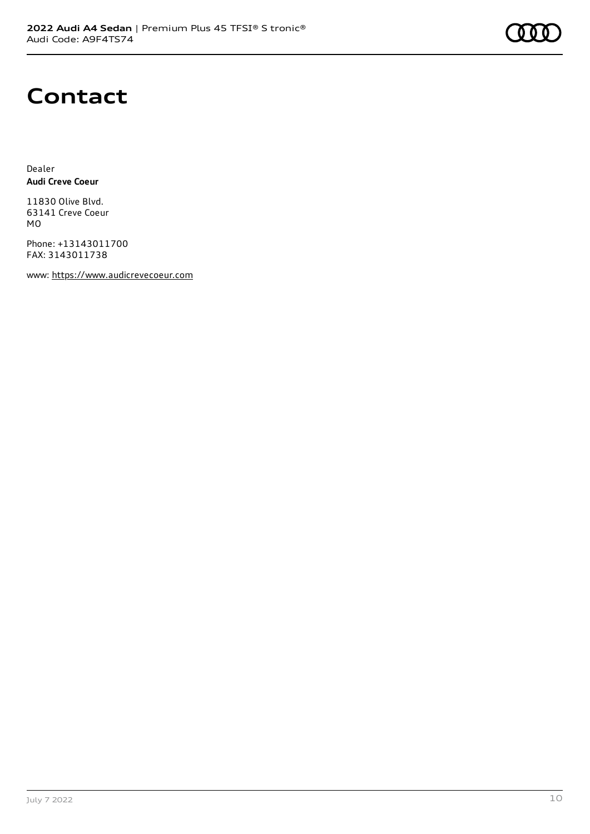## **Contact**

Dealer **Audi Creve Coeur**

11830 Olive Blvd. 63141 Creve Coeur MO

Phone: +13143011700 FAX: 3143011738

www: [https://www.audicrevecoeur.com](https://www.audicrevecoeur.com/)